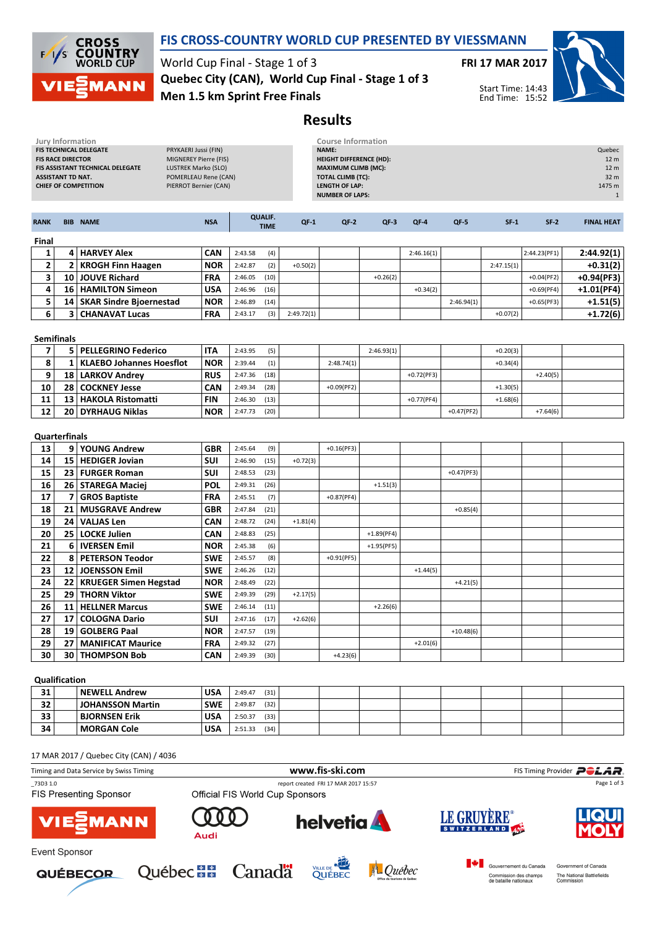

## FIS CROSS-COUNTRY WORLD CUP PRESENTED BY VIESSMANN

World Cup Final - Stage 1 of 3 Men 1.5 km Sprint Free Finals Quebec City (CAN), World Cup Final - Stage 1 of 3



Start Time: 14:43 End Time: 15:52



Results

| Jury Information<br>FIS TECHNICAL DELEGATE<br><b>FIS RACE DIRECTOR</b><br>FIS ASSISTANT TECHNICAL DELEGATE<br><b>ASSISTANT TD NAT.</b><br><b>CHIEF OF COMPETITION</b> |                                                                                                                         |                                         | PRYKAERI Jussi (FIN)<br>MIGNEREY Pierre (FIS)<br>LUSTREK Marko (SLO)<br>POMERLEAU Rene (CAN)<br>PIERROT Bernier (CAN) |                    |                               |            | <b>Course Information</b><br>NAME:<br><b>HEIGHT DIFFERENCE (HD):</b><br><b>MAXIMUM CLIMB (MC):</b><br><b>TOTAL CLIMB (TC):</b><br><b>LENGTH OF LAP:</b><br><b>NUMBER OF LAPS:</b> |              |              |              |            |              | Quebec<br>12 m<br>12 m<br>32 m<br>1475 m<br>$\mathbf{1}$ |
|-----------------------------------------------------------------------------------------------------------------------------------------------------------------------|-------------------------------------------------------------------------------------------------------------------------|-----------------------------------------|-----------------------------------------------------------------------------------------------------------------------|--------------------|-------------------------------|------------|-----------------------------------------------------------------------------------------------------------------------------------------------------------------------------------|--------------|--------------|--------------|------------|--------------|----------------------------------------------------------|
| <b>RANK</b>                                                                                                                                                           |                                                                                                                         | <b>BIB NAME</b>                         | <b>NSA</b>                                                                                                            |                    | <b>QUALIF.</b><br><b>TIME</b> | $QF-1$     | $QF-2$                                                                                                                                                                            | $QF-3$       | QF-4         | QF-5         | $SF-1$     | $SF-2$       | <b>FINAL HEAT</b>                                        |
| Final                                                                                                                                                                 |                                                                                                                         |                                         |                                                                                                                       |                    |                               |            |                                                                                                                                                                                   |              |              |              |            |              |                                                          |
| 1                                                                                                                                                                     |                                                                                                                         | 4 HARVEY Alex                           | <b>CAN</b>                                                                                                            | 2:43.58            | (4)                           |            |                                                                                                                                                                                   |              | 2:46.16(1)   |              |            | 2:44.23(PF1) | 2:44.92(1)                                               |
| 2                                                                                                                                                                     |                                                                                                                         | 2   KROGH Finn Haagen                   | <b>NOR</b>                                                                                                            | 2:42.87            | (2)                           | $+0.50(2)$ |                                                                                                                                                                                   |              |              |              | 2:47.15(1) |              | $+0.31(2)$                                               |
| 3                                                                                                                                                                     |                                                                                                                         | 10 JOUVE Richard                        | <b>FRA</b>                                                                                                            | 2:46.05            | (10)                          |            |                                                                                                                                                                                   | $+0.26(2)$   |              |              |            | $+0.04(PF2)$ | +0.94(PF3)                                               |
| 4                                                                                                                                                                     |                                                                                                                         | 16   HAMILTON Simeon                    | <b>USA</b>                                                                                                            | 2:46.96            | (16)                          |            |                                                                                                                                                                                   |              | $+0.34(2)$   |              |            | $+0.69(PF4)$ | $+1.01(PF4)$                                             |
| 5                                                                                                                                                                     |                                                                                                                         | 14   SKAR Sindre Bjoernestad            | <b>NOR</b>                                                                                                            | 2:46.89            | (14)                          |            |                                                                                                                                                                                   |              |              | 2:46.94(1)   |            | $+0.65(PF3)$ | $+1.51(5)$                                               |
| 6                                                                                                                                                                     |                                                                                                                         | <b>3 CHANAVAT Lucas</b>                 | <b>FRA</b>                                                                                                            | 2:43.17            | (3)                           | 2:49.72(1) |                                                                                                                                                                                   |              |              |              | $+0.07(2)$ |              | $+1.72(6)$                                               |
| <b>Semifinals</b>                                                                                                                                                     |                                                                                                                         |                                         |                                                                                                                       |                    |                               |            |                                                                                                                                                                                   |              |              |              |            |              |                                                          |
| $\overline{7}$                                                                                                                                                        |                                                                                                                         | 5   PELLEGRINO Federico                 | <b>ITA</b>                                                                                                            | 2:43.95            | (5)                           |            |                                                                                                                                                                                   | 2:46.93(1)   |              |              | $+0.20(3)$ |              |                                                          |
| 8                                                                                                                                                                     |                                                                                                                         | 1   KLAEBO Johannes Hoesflot            | <b>NOR</b>                                                                                                            | 2:39.44            | (1)                           |            | 2:48.74(1)                                                                                                                                                                        |              |              |              | $+0.34(4)$ |              |                                                          |
| 9                                                                                                                                                                     |                                                                                                                         | 18   LARKOV Andrey                      | <b>RUS</b>                                                                                                            | 2:47.36            | (18)                          |            |                                                                                                                                                                                   |              | $+0.72(PF3)$ |              |            | $+2.40(5)$   |                                                          |
| 10                                                                                                                                                                    |                                                                                                                         | 28 COCKNEY Jesse                        | <b>CAN</b>                                                                                                            | 2:49.34            | (28)                          |            | $+0.09(PF2)$                                                                                                                                                                      |              |              |              | $+1.30(5)$ |              |                                                          |
| 11                                                                                                                                                                    |                                                                                                                         | 13 HAKOLA Ristomatti                    | <b>FIN</b>                                                                                                            | 2:46.30            | (13)                          |            |                                                                                                                                                                                   |              | $+0.77(PF4)$ |              | $+1.68(6)$ |              |                                                          |
| 12                                                                                                                                                                    |                                                                                                                         | 20 DYRHAUG Niklas                       | <b>NOR</b>                                                                                                            | 2:47.73            | (20)                          |            |                                                                                                                                                                                   |              |              | $+0.47(PF2)$ |            | $+7.64(6)$   |                                                          |
| <b>Quarterfinals</b>                                                                                                                                                  |                                                                                                                         |                                         |                                                                                                                       |                    |                               |            |                                                                                                                                                                                   |              |              |              |            |              |                                                          |
| 13                                                                                                                                                                    |                                                                                                                         | 9 YOUNG Andrew                          | <b>GBR</b>                                                                                                            | 2:45.64            | (9)                           |            | $+0.16(PF3)$                                                                                                                                                                      |              |              |              |            |              |                                                          |
| 14                                                                                                                                                                    |                                                                                                                         | 15   HEDIGER Jovian                     | <b>SUI</b>                                                                                                            | 2:46.90            | (15)                          | $+0.72(3)$ |                                                                                                                                                                                   |              |              |              |            |              |                                                          |
| 15                                                                                                                                                                    |                                                                                                                         | 23   FURGER Roman                       | <b>SUI</b>                                                                                                            | 2:48.53            | (23)                          |            |                                                                                                                                                                                   |              |              | $+0.47(PF3)$ |            |              |                                                          |
| 16                                                                                                                                                                    |                                                                                                                         | 26   STAREGA Maciej                     | <b>POL</b>                                                                                                            | 2:49.31            | (26)                          |            |                                                                                                                                                                                   | $+1.51(3)$   |              |              |            |              |                                                          |
| 17                                                                                                                                                                    | $\overline{7}$                                                                                                          | <b>GROS Baptiste</b>                    | FRA                                                                                                                   | 2:45.51            | (7)                           |            | $+0.87(PF4)$                                                                                                                                                                      |              |              |              |            |              |                                                          |
| 18                                                                                                                                                                    |                                                                                                                         | 21   MUSGRAVE Andrew                    | GBR                                                                                                                   | 2:47.84            | (21)                          |            |                                                                                                                                                                                   |              |              | $+0.85(4)$   |            |              |                                                          |
| 19                                                                                                                                                                    |                                                                                                                         | 24   VALJAS Len                         | <b>CAN</b>                                                                                                            | 2:48.72            | (24)                          | $+1.81(4)$ |                                                                                                                                                                                   |              |              |              |            |              |                                                          |
| 20                                                                                                                                                                    |                                                                                                                         | 25 LOCKE Julien                         | <b>CAN</b>                                                                                                            | 2:48.83            | (25)                          |            |                                                                                                                                                                                   | $+1.89(PF4)$ |              |              |            |              |                                                          |
| 21                                                                                                                                                                    |                                                                                                                         | 6   IVERSEN Emil                        | <b>NOR</b>                                                                                                            | 2:45.38            | (6)                           |            |                                                                                                                                                                                   | $+1.95(PF5)$ |              |              |            |              |                                                          |
| 22<br>23                                                                                                                                                              |                                                                                                                         | 8   PETERSON Teodor<br>12 JOENSSON Emil | <b>SWE</b><br><b>SWE</b>                                                                                              | 2:45.57<br>2:46.26 | (8)<br>(12)                   |            | $+0.91(PF5)$                                                                                                                                                                      |              | $+1.44(5)$   |              |            |              |                                                          |
| 24                                                                                                                                                                    |                                                                                                                         | 22   KRUEGER Simen Hegstad              | <b>NOR</b>                                                                                                            | 2:48.49            | (22)                          |            |                                                                                                                                                                                   |              |              | $+4.21(5)$   |            |              |                                                          |
| 25                                                                                                                                                                    |                                                                                                                         | 29   THORN Viktor                       | <b>SWE</b>                                                                                                            | 2:49.39            | (29)                          | $+2.17(5)$ |                                                                                                                                                                                   |              |              |              |            |              |                                                          |
| 26                                                                                                                                                                    | 11                                                                                                                      | <b>HELLNER Marcus</b>                   | <b>SWE</b>                                                                                                            | 2:46.14            | (11)                          |            |                                                                                                                                                                                   | $+2.26(6)$   |              |              |            |              |                                                          |
| 27                                                                                                                                                                    | 17 <sup>1</sup>                                                                                                         | <b>COLOGNA Dario</b>                    | SUI                                                                                                                   | 2:47.16            | (17)                          | $+2.62(6)$ |                                                                                                                                                                                   |              |              |              |            |              |                                                          |
| 28                                                                                                                                                                    |                                                                                                                         | 19 GOLBERG Paal                         | <b>NOR</b>                                                                                                            | 2:47.57            | (19)                          |            |                                                                                                                                                                                   |              |              | $+10.48(6)$  |            |              |                                                          |
| 29                                                                                                                                                                    |                                                                                                                         | 27 MANIFICAT Maurice                    | <b>FRA</b>                                                                                                            | 2:49.32            | (27)                          |            |                                                                                                                                                                                   |              | $+2.01(6)$   |              |            |              |                                                          |
| 30                                                                                                                                                                    |                                                                                                                         | 30   THOMPSON Bob                       | <b>CAN</b>                                                                                                            | 2:49.39            | (30)                          |            | $+4.23(6)$                                                                                                                                                                        |              |              |              |            |              |                                                          |
| Qualification                                                                                                                                                         |                                                                                                                         |                                         |                                                                                                                       |                    |                               |            |                                                                                                                                                                                   |              |              |              |            |              |                                                          |
| 31                                                                                                                                                                    |                                                                                                                         | <b>NEWELL Andrew</b>                    | <b>USA</b>                                                                                                            | 2:49.47            | (31)                          |            |                                                                                                                                                                                   |              |              |              |            |              |                                                          |
| 32                                                                                                                                                                    |                                                                                                                         | <b>JOHANSSON Martin</b>                 | <b>SWE</b>                                                                                                            | 2:49.87            | (32)                          |            |                                                                                                                                                                                   |              |              |              |            |              |                                                          |
| 33                                                                                                                                                                    |                                                                                                                         | <b>BJORNSEN Erik</b>                    | <b>USA</b>                                                                                                            | 2:50.37            | (33)                          |            |                                                                                                                                                                                   |              |              |              |            |              |                                                          |
| 34                                                                                                                                                                    |                                                                                                                         | <b>MORGAN Cole</b>                      | <b>USA</b>                                                                                                            | 2:51.33            | (34)                          |            |                                                                                                                                                                                   |              |              |              |            |              |                                                          |
| 17 MAR 2017 / Quebec City (CAN) / 4036                                                                                                                                |                                                                                                                         |                                         |                                                                                                                       |                    |                               |            |                                                                                                                                                                                   |              |              |              |            |              |                                                          |
|                                                                                                                                                                       |                                                                                                                         | Timing and Data Service by Swiss Timing |                                                                                                                       |                    |                               |            | www.fis-ski.com                                                                                                                                                                   |              |              |              |            |              | FIS Timing Provider POLAR                                |
| 73D3 1.0                                                                                                                                                              | report created FRI 17 MAR 2017 15:57<br>Page 1 of 3<br>FIS Presenting Sponsor<br><b>Official FIS World Cup Sponsors</b> |                                         |                                                                                                                       |                    |                               |            |                                                                                                                                                                                   |              |              |              |            |              |                                                          |











Event Sponsor









Government of Canada The National Battlefields<br>Commission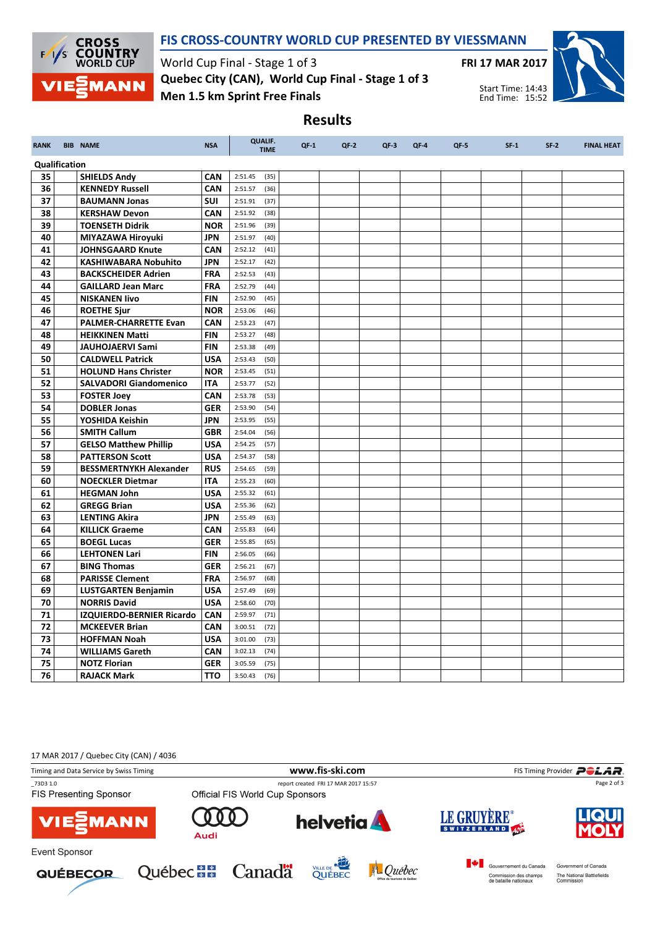

## FIS CROSS-COUNTRY WORLD CUP PRESENTED BY VIESSMANN

Results

World Cup Final - Stage 1 of 3 Men 1.5 km Sprint Free Finals Quebec City (CAN), World Cup Final - Stage 1 of 3



Start Time: 14:43 End Time: 15:52

RANK BIB NAME NSA QUALIF. TIME QF-1 QF-2 QF-3 QF-4 QF-5 SF-1 SF-2 FINAL HEAT Qualification **35 SHIELDS Andy CAN** 2:51.45 (35) **36 KENNEDY Russell CAN** 2:51.57 (36) **37 BAUMANN Jonas** SUI 2:51.91 (37) **38 KERSHAW Devon CAN 2:51.92 (38) 39 TOENSETH Didrik NOR** 2:51.96 (39) 40 MIYAZAWA Hiroyuki JPN 2:51.97 (40) 41 JOHNSGAARD Knute CAN 2:52.12 (41) 42 | KASHIWABARA Nobuhito | JPN | 2:52.17 (42) 43 BACKSCHEIDER Adrien FRA 2:52.53 (43) **44 GAILLARD Jean Marc** FRA 2:52.79 (44) 45 NISKANEN Iivo FIN 2:52.90 (45) **46 ROETHE Sjur NOR** 2:53.06 (46) 47 PALMER-CHARRETTE Evan CAN 2:53.23 (47) **48 HEIKKINEN Matti** FIN 2:53.27 (48) 49 JAUHOJAERVI Sami FIN 2:53.38 (49) **50 CALDWELL Patrick USA 2:53.43 (50)** 51 HOLUND Hans Christer NOR 2:53.45 (51) 52 SALVADORI Giandomenico ITA 2:53.77 (52) **53 FOSTER Joey CAN CAN 2:53.78** (53) **54 DOBLER Jonas GER** 2:53.90 (54) **55 YOSHIDA Keishin JPN** 2:53.95 (55) **56 | SMITH Callum | GBR** | 2:54.04 (56) 57 GELSO Matthew Phillip | USA | 2:54.25 (57) **58 PATTERSON Scott** USA 2:54.37 (58) 59 BESSMERTNYKH Alexander RUS 2:54.65 (59) **60 NOECKLER Dietmar ITA** 2:55.23 (60) 61 HEGMAN John 105A 2:55.32 (61) **62** GREGG Brian **USA** 2:55.36 (62) 63 LENTING Akira | JPN | 2:55.49 (63) **64 KILLICK Graeme CAN** 2:55.83 (64) 65 BOEGL Lucas GER 2:55.85 (65) 66 LEHTONEN Lari FIN 2:56.05 (66) **67 BING Thomas GER** 2:56.21 (67) **68 PARISSE Clement** FRA 2:56.97 (68) 69 LUSTGARTEN Benjamin USA 2:57.49 (69) 70 NORRIS David USA 2:58.60 (70) 71 | IZQUIERDO-BERNIER Ricardo CAN | 2:59.97 (71) **72 MCKEEVER Brian** CAN 3:00.51 (72) 73 HOFFMAN Noah USA 3:01.00 (73) **74 WILLIAMS Gareth CAN** 3:02.13 (74) 75 **NOTZ Florian GER** 3:05.59 (75) **76 RAJACK Mark TTO** 3:50.43 (76)

17 MAR 2017 / Quebec City (CAN) / 4036